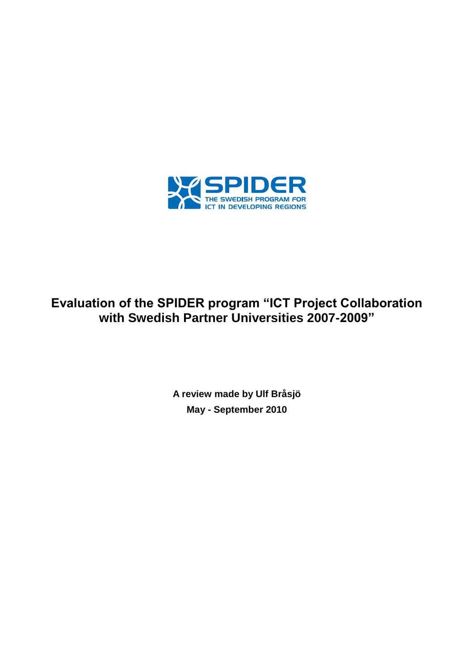

# **Evaluation of the SPIDER program "ICT Project Collaboration with Swedish Partner Universities 2007-2009"**

**A review made by Ulf Bråsjö May - September 2010**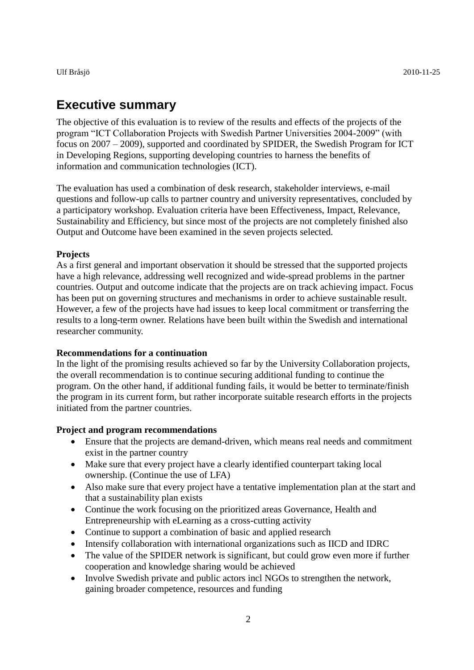# <span id="page-1-0"></span>**Executive summary**

The objective of this evaluation is to review of the results and effects of the projects of the program "ICT Collaboration Projects with Swedish Partner Universities 2004-2009" (with focus on 2007 – 2009), supported and coordinated by SPIDER, the Swedish Program for ICT in Developing Regions, supporting developing countries to harness the benefits of information and communication technologies (ICT).

The evaluation has used a combination of desk research, stakeholder interviews, e-mail questions and follow-up calls to partner country and university representatives, concluded by a participatory workshop. Evaluation criteria have been Effectiveness, Impact, Relevance, Sustainability and Efficiency, but since most of the projects are not completely finished also Output and Outcome have been examined in the seven projects selected.

#### **Projects**

As a first general and important observation it should be stressed that the supported projects have a high relevance, addressing well recognized and wide-spread problems in the partner countries. Output and outcome indicate that the projects are on track achieving impact. Focus has been put on governing structures and mechanisms in order to achieve sustainable result. However, a few of the projects have had issues to keep local commitment or transferring the results to a long-term owner. Relations have been built within the Swedish and international researcher community.

#### **Recommendations for a continuation**

In the light of the promising results achieved so far by the University Collaboration projects, the overall recommendation is to continue securing additional funding to continue the program. On the other hand, if additional funding fails, it would be better to terminate/finish the program in its current form, but rather incorporate suitable research efforts in the projects initiated from the partner countries.

#### **Project and program recommendations**

- Ensure that the projects are demand-driven, which means real needs and commitment exist in the partner country
- Make sure that every project have a clearly identified counterpart taking local ownership. (Continue the use of LFA)
- Also make sure that every project have a tentative implementation plan at the start and that a sustainability plan exists
- Continue the work focusing on the prioritized areas Governance, Health and Entrepreneurship with eLearning as a cross-cutting activity
- Continue to support a combination of basic and applied research
- Intensify collaboration with international organizations such as IICD and IDRC
- The value of the SPIDER network is significant, but could grow even more if further cooperation and knowledge sharing would be achieved
- Involve Swedish private and public actors incl NGOs to strengthen the network, gaining broader competence, resources and funding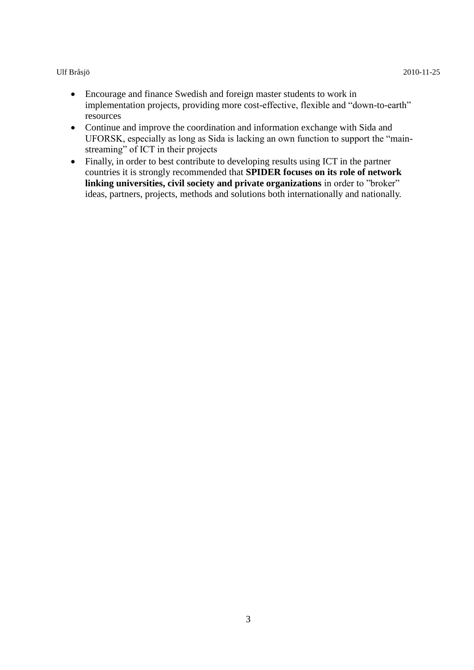- Encourage and finance Swedish and foreign master students to work in implementation projects, providing more cost-effective, flexible and "down-to-earth" resources
- Continue and improve the coordination and information exchange with Sida and UFORSK, especially as long as Sida is lacking an own function to support the "mainstreaming" of ICT in their projects
- Finally, in order to best contribute to developing results using ICT in the partner countries it is strongly recommended that **SPIDER focuses on its role of network linking universities, civil society and private organizations** in order to "broker" ideas, partners, projects, methods and solutions both internationally and nationally.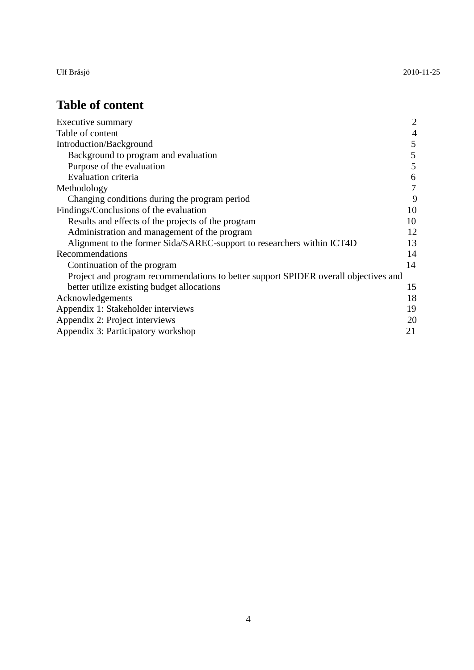Ulf Bråsjö 2010-11-25

# <span id="page-3-0"></span>**Table of content**

| Executive summary                                                                   | $\overline{2}$ |  |
|-------------------------------------------------------------------------------------|----------------|--|
| Table of content                                                                    | 4              |  |
| Introduction/Background                                                             |                |  |
| Background to program and evaluation                                                | 5              |  |
| Purpose of the evaluation                                                           | 5              |  |
| <b>Evaluation criteria</b>                                                          | 6              |  |
| Methodology                                                                         | $\overline{7}$ |  |
| Changing conditions during the program period                                       | 9              |  |
| Findings/Conclusions of the evaluation                                              | 10             |  |
| Results and effects of the projects of the program                                  | 10             |  |
| Administration and management of the program                                        | 12             |  |
| Alignment to the former Sida/SAREC-support to researchers within ICT4D              | 13             |  |
| Recommendations                                                                     | 14             |  |
| Continuation of the program                                                         | 14             |  |
| Project and program recommendations to better support SPIDER overall objectives and |                |  |
| better utilize existing budget allocations                                          | 15             |  |
| Acknowledgements                                                                    | 18             |  |
| Appendix 1: Stakeholder interviews                                                  | 19             |  |
| Appendix 2: Project interviews                                                      |                |  |
| Appendix 3: Participatory workshop                                                  | 21             |  |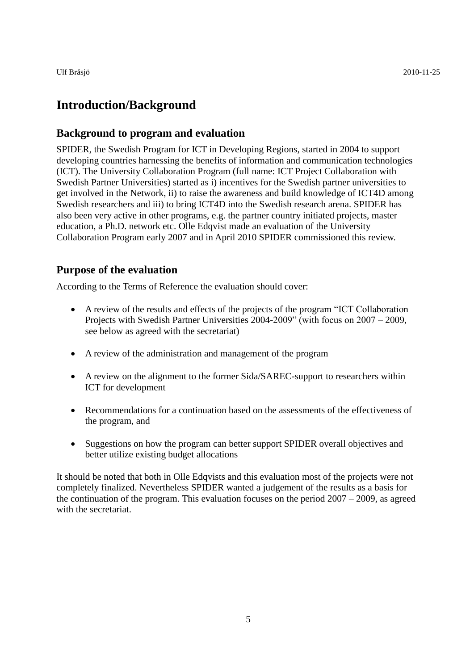# <span id="page-4-0"></span>**Introduction/Background**

#### <span id="page-4-1"></span>**Background to program and evaluation**

SPIDER, the Swedish Program for ICT in Developing Regions, started in 2004 to support developing countries harnessing the benefits of information and communication technologies (ICT). The University Collaboration Program (full name: ICT Project Collaboration with Swedish Partner Universities) started as i) incentives for the Swedish partner universities to get involved in the Network, ii) to raise the awareness and build knowledge of ICT4D among Swedish researchers and iii) to bring ICT4D into the Swedish research arena. SPIDER has also been very active in other programs, e.g. the partner country initiated projects, master education, a Ph.D. network etc. Olle Edqvist made an evaluation of the University Collaboration Program early 2007 and in April 2010 SPIDER commissioned this review.

#### <span id="page-4-2"></span>**Purpose of the evaluation**

According to the Terms of Reference the evaluation should cover:

- A review of the results and effects of the projects of the program "ICT Collaboration Projects with Swedish Partner Universities 2004-2009" (with focus on 2007 – 2009, see below as agreed with the secretariat)
- A review of the administration and management of the program
- A review on the alignment to the former Sida/SAREC-support to researchers within ICT for development
- Recommendations for a continuation based on the assessments of the effectiveness of the program, and
- Suggestions on how the program can better support SPIDER overall objectives and better utilize existing budget allocations

It should be noted that both in Olle Edqvists and this evaluation most of the projects were not completely finalized. Nevertheless SPIDER wanted a judgement of the results as a basis for the continuation of the program. This evaluation focuses on the period 2007 – 2009, as agreed with the secretariat.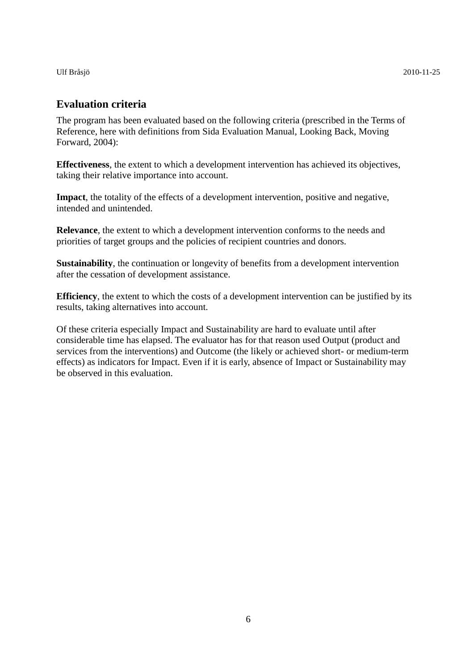### <span id="page-5-0"></span>**Evaluation criteria**

The program has been evaluated based on the following criteria (prescribed in the Terms of Reference, here with definitions from Sida Evaluation Manual, Looking Back, Moving Forward, 2004):

**Effectiveness**, the extent to which a development intervention has achieved its objectives, taking their relative importance into account.

**Impact**, the totality of the effects of a development intervention, positive and negative, intended and unintended.

**Relevance**, the extent to which a development intervention conforms to the needs and priorities of target groups and the policies of recipient countries and donors.

**Sustainability**, the continuation or longevity of benefits from a development intervention after the cessation of development assistance.

**Efficiency**, the extent to which the costs of a development intervention can be justified by its results, taking alternatives into account.

Of these criteria especially Impact and Sustainability are hard to evaluate until after considerable time has elapsed. The evaluator has for that reason used Output (product and services from the interventions) and Outcome (the likely or achieved short- or medium-term effects) as indicators for Impact. Even if it is early, absence of Impact or Sustainability may be observed in this evaluation.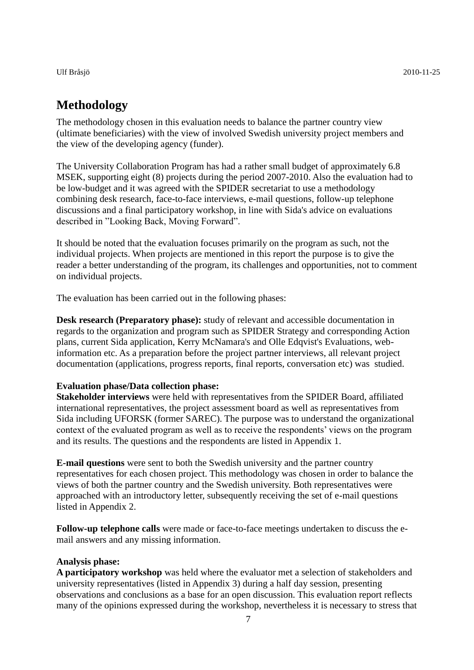# <span id="page-6-0"></span>**Methodology**

The methodology chosen in this evaluation needs to balance the partner country view (ultimate beneficiaries) with the view of involved Swedish university project members and the view of the developing agency (funder).

The University Collaboration Program has had a rather small budget of approximately 6.8 MSEK, supporting eight (8) projects during the period 2007-2010. Also the evaluation had to be low-budget and it was agreed with the SPIDER secretariat to use a methodology combining desk research, face-to-face interviews, e-mail questions, follow-up telephone discussions and a final participatory workshop, in line with Sida's advice on evaluations described in "Looking Back, Moving Forward".

It should be noted that the evaluation focuses primarily on the program as such, not the individual projects. When projects are mentioned in this report the purpose is to give the reader a better understanding of the program, its challenges and opportunities, not to comment on individual projects.

The evaluation has been carried out in the following phases:

**Desk research (Preparatory phase):** study of relevant and accessible documentation in regards to the organization and program such as SPIDER Strategy and corresponding Action plans, current Sida application, Kerry McNamara's and Olle Edqvist's Evaluations, webinformation etc. As a preparation before the project partner interviews, all relevant project documentation (applications, progress reports, final reports, conversation etc) was studied.

#### **Evaluation phase/Data collection phase:**

**Stakeholder interviews** were held with representatives from the SPIDER Board, affiliated international representatives, the project assessment board as well as representatives from Sida including UFORSK (former SAREC). The purpose was to understand the organizational context of the evaluated program as well as to receive the respondents' views on the program and its results. The questions and the respondents are listed in Appendix 1.

**E-mail questions** were sent to both the Swedish university and the partner country representatives for each chosen project. This methodology was chosen in order to balance the views of both the partner country and the Swedish university. Both representatives were approached with an introductory letter, subsequently receiving the set of e-mail questions listed in Appendix 2.

**Follow-up telephone calls** were made or face-to-face meetings undertaken to discuss the email answers and any missing information.

#### **Analysis phase:**

**A participatory workshop** was held where the evaluator met a selection of stakeholders and university representatives (listed in Appendix 3) during a half day session, presenting observations and conclusions as a base for an open discussion. This evaluation report reflects many of the opinions expressed during the workshop, nevertheless it is necessary to stress that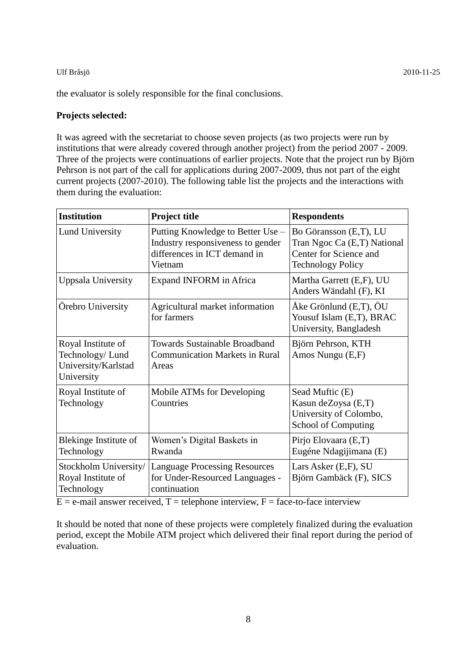the evaluator is solely responsible for the final conclusions.

#### **Projects selected:**

It was agreed with the secretariat to choose seven projects (as two projects were run by institutions that were already covered through another project) from the period 2007 - 2009. Three of the projects were continuations of earlier projects. Note that the project run by Björn Pehrson is not part of the call for applications during 2007-2009, thus not part of the eight current projects (2007-2010). The following table list the projects and the interactions with them during the evaluation:

| <b>Institution</b>                                                         | <b>Project title</b>                                                                                              | <b>Respondents</b>                                                                                          |
|----------------------------------------------------------------------------|-------------------------------------------------------------------------------------------------------------------|-------------------------------------------------------------------------------------------------------------|
| <b>Lund University</b>                                                     | Putting Knowledge to Better Use –<br>Industry responsiveness to gender<br>differences in ICT demand in<br>Vietnam | Bo Göransson (E,T), LU<br>Tran Ngoc Ca (E,T) National<br>Center for Science and<br><b>Technology Policy</b> |
| Uppsala University                                                         | <b>Expand INFORM</b> in Africa                                                                                    | Martha Garrett (E,F), UU<br>Anders Wändahl (F), KI                                                          |
| Orebro University                                                          | Agricultural market information<br>for farmers                                                                    | $\AA$ ke Grönlund (E,T), $\bullet$ U<br>Yousuf Islam (E,T), BRAC<br>University, Bangladesh                  |
| Royal Institute of<br>Technology/Lund<br>University/Karlstad<br>University | <b>Towards Sustainable Broadband</b><br><b>Communication Markets in Rural</b><br>Areas                            | Björn Pehrson, KTH<br>Amos Nungu (E,F)                                                                      |
| Royal Institute of<br>Technology                                           | Mobile ATMs for Developing<br>Countries                                                                           | Sead Muftic (E)<br>Kasun deZoysa (E,T)<br>University of Colombo,<br>School of Computing                     |
| Blekinge Institute of<br>Technology                                        | Women's Digital Baskets in<br>Rwanda                                                                              | Pirjo Elovaara (E,T)<br>Eugéne Ndagijimana (E)                                                              |
| Stockholm University/<br>Royal Institute of<br>Technology                  | <b>Language Processing Resources</b><br>for Under-Resourced Languages -<br>continuation                           | Lars Asker (E,F), SU<br>Björn Gambäck (F), SICS                                                             |

 $E = e$ -mail answer received, T = telephone interview, F = face-to-face interview

<span id="page-7-0"></span>It should be noted that none of these projects were completely finalized during the evaluation period, except the Mobile ATM project which delivered their final report during the period of evaluation.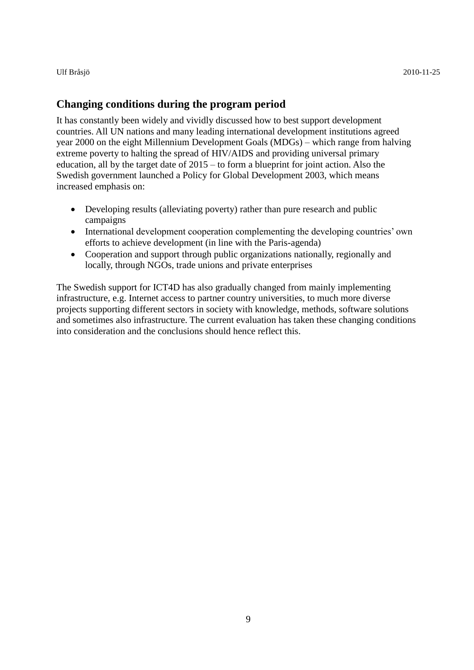#### **Changing conditions during the program period**

It has constantly been widely and vividly discussed how to best support development countries. All UN nations and many leading international development institutions agreed year 2000 on the eight Millennium Development Goals (MDGs) – which range from halving extreme poverty to halting the spread of HIV/AIDS and providing universal primary education, all by the target date of 2015 – to form a blueprint for joint action. Also the Swedish government launched a Policy for Global Development 2003, which means increased emphasis on:

- Developing results (alleviating poverty) rather than pure research and public campaigns
- International development cooperation complementing the developing countries' own efforts to achieve development (in line with the Paris-agenda)
- Cooperation and support through public organizations nationally, regionally and locally, through NGOs, trade unions and private enterprises

The Swedish support for ICT4D has also gradually changed from mainly implementing infrastructure, e.g. Internet access to partner country universities, to much more diverse projects supporting different sectors in society with knowledge, methods, software solutions and sometimes also infrastructure. The current evaluation has taken these changing conditions into consideration and the conclusions should hence reflect this.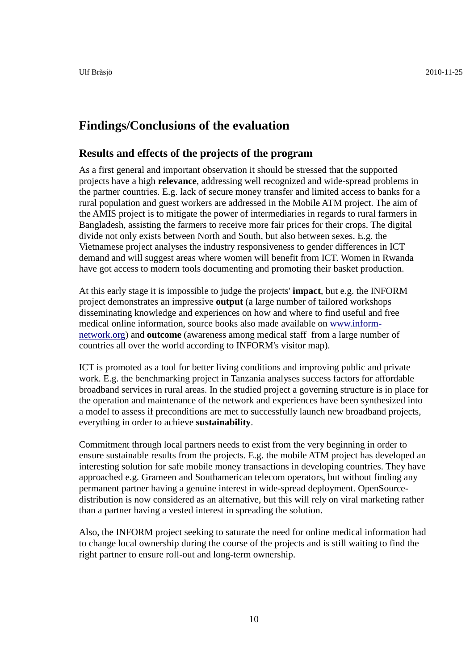### <span id="page-9-0"></span>**Findings/Conclusions of the evaluation**

#### <span id="page-9-1"></span>**Results and effects of the projects of the program**

As a first general and important observation it should be stressed that the supported projects have a high **relevance**, addressing well recognized and wide-spread problems in the partner countries. E.g. lack of secure money transfer and limited access to banks for a rural population and guest workers are addressed in the Mobile ATM project. The aim of the AMIS project is to mitigate the power of intermediaries in regards to rural farmers in Bangladesh, assisting the farmers to receive more fair prices for their crops. The digital divide not only exists between North and South, but also between sexes. E.g. the Vietnamese project analyses the industry responsiveness to gender differences in ICT demand and will suggest areas where women will benefit from ICT. Women in Rwanda have got access to modern tools documenting and promoting their basket production.

At this early stage it is impossible to judge the projects' **impact**, but e.g. the INFORM project demonstrates an impressive **output** (a large number of tailored workshops disseminating knowledge and experiences on how and where to find useful and free medical online information, source books also made available on [www.inform](http://www.inform-network.org/)[network.org\)](http://www.inform-network.org/) and **outcome** (awareness among medical staff from a large number of countries all over the world according to INFORM's visitor map).

ICT is promoted as a tool for better living conditions and improving public and private work. E.g. the benchmarking project in Tanzania analyses success factors for affordable broadband services in rural areas. In the studied project a governing structure is in place for the operation and maintenance of the network and experiences have been synthesized into a model to assess if preconditions are met to successfully launch new broadband projects, everything in order to achieve **sustainability**.

Commitment through local partners needs to exist from the very beginning in order to ensure sustainable results from the projects. E.g. the mobile ATM project has developed an interesting solution for safe mobile money transactions in developing countries. They have approached e.g. Grameen and Southamerican telecom operators, but without finding any permanent partner having a genuine interest in wide-spread deployment. OpenSourcedistribution is now considered as an alternative, but this will rely on viral marketing rather than a partner having a vested interest in spreading the solution.

Also, the INFORM project seeking to saturate the need for online medical information had to change local ownership during the course of the projects and is still waiting to find the right partner to ensure roll-out and long-term ownership.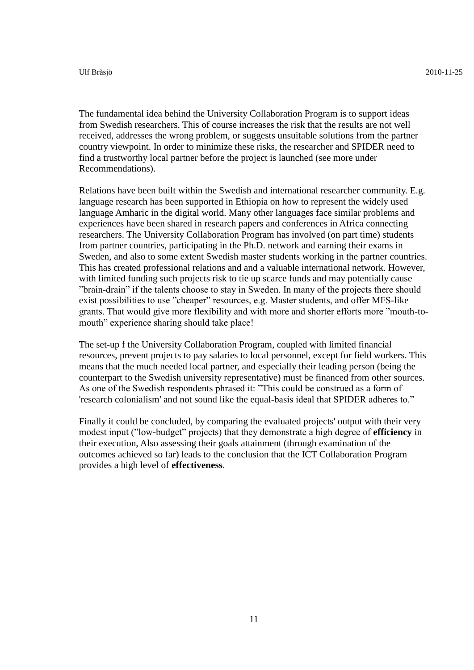The fundamental idea behind the University Collaboration Program is to support ideas from Swedish researchers. This of course increases the risk that the results are not well received, addresses the wrong problem, or suggests unsuitable solutions from the partner country viewpoint. In order to minimize these risks, the researcher and SPIDER need to find a trustworthy local partner before the project is launched (see more under Recommendations).

Relations have been built within the Swedish and international researcher community. E.g. language research has been supported in Ethiopia on how to represent the widely used language Amharic in the digital world. Many other languages face similar problems and experiences have been shared in research papers and conferences in Africa connecting researchers. The University Collaboration Program has involved (on part time) students from partner countries, participating in the Ph.D. network and earning their exams in Sweden, and also to some extent Swedish master students working in the partner countries. This has created professional relations and and a valuable international network. However, with limited funding such projects risk to tie up scarce funds and may potentially cause "brain-drain" if the talents choose to stay in Sweden. In many of the projects there should exist possibilities to use "cheaper" resources, e.g. Master students, and offer MFS-like grants. That would give more flexibility and with more and shorter efforts more "mouth-tomouth" experience sharing should take place!

The set-up f the University Collaboration Program, coupled with limited financial resources, prevent projects to pay salaries to local personnel, except for field workers. This means that the much needed local partner, and especially their leading person (being the counterpart to the Swedish university representative) must be financed from other sources. As one of the Swedish respondents phrased it: "This could be construed as a form of 'research colonialism' and not sound like the equal-basis ideal that SPIDER adheres to."

Finally it could be concluded, by comparing the evaluated projects' output with their very modest input ("low-budget" projects) that they demonstrate a high degree of **efficiency** in their execution, Also assessing their goals attainment (through examination of the outcomes achieved so far) leads to the conclusion that the ICT Collaboration Program provides a high level of **effectiveness**.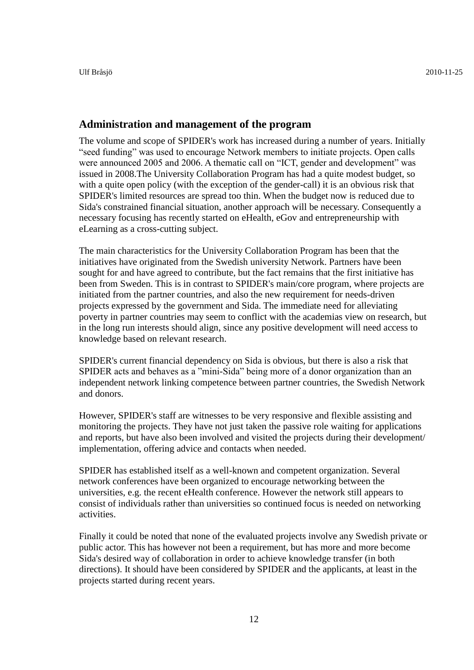#### <span id="page-11-0"></span>**Administration and management of the program**

The volume and scope of SPIDER's work has increased during a number of years. Initially "seed funding" was used to encourage Network members to initiate projects. Open calls were announced 2005 and 2006. A thematic call on "ICT, gender and development" was issued in 2008.The University Collaboration Program has had a quite modest budget, so with a quite open policy (with the exception of the gender-call) it is an obvious risk that SPIDER's limited resources are spread too thin. When the budget now is reduced due to Sida's constrained financial situation, another approach will be necessary. Consequently a necessary focusing has recently started on eHealth, eGov and entrepreneurship with eLearning as a cross-cutting subject.

The main characteristics for the University Collaboration Program has been that the initiatives have originated from the Swedish university Network. Partners have been sought for and have agreed to contribute, but the fact remains that the first initiative has been from Sweden. This is in contrast to SPIDER's main/core program, where projects are initiated from the partner countries, and also the new requirement for needs-driven projects expressed by the government and Sida. The immediate need for alleviating poverty in partner countries may seem to conflict with the academias view on research, but in the long run interests should align, since any positive development will need access to knowledge based on relevant research.

SPIDER's current financial dependency on Sida is obvious, but there is also a risk that SPIDER acts and behaves as a "mini-Sida" being more of a donor organization than an independent network linking competence between partner countries, the Swedish Network and donors.

However, SPIDER's staff are witnesses to be very responsive and flexible assisting and monitoring the projects. They have not just taken the passive role waiting for applications and reports, but have also been involved and visited the projects during their development/ implementation, offering advice and contacts when needed.

SPIDER has established itself as a well-known and competent organization. Several network conferences have been organized to encourage networking between the universities, e.g. the recent eHealth conference. However the network still appears to consist of individuals rather than universities so continued focus is needed on networking activities.

Finally it could be noted that none of the evaluated projects involve any Swedish private or public actor. This has however not been a requirement, but has more and more become Sida's desired way of collaboration in order to achieve knowledge transfer (in both directions). It should have been considered by SPIDER and the applicants, at least in the projects started during recent years.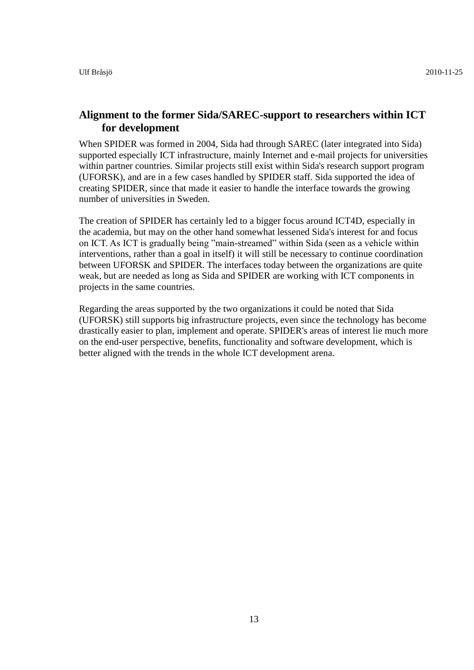#### <span id="page-12-0"></span>**Alignment to the former Sida/SAREC-support to researchers within ICT for development**

When SPIDER was formed in 2004, Sida had through SAREC (later integrated into Sida) supported especially ICT infrastructure, mainly Internet and e-mail projects for universities within partner countries. Similar projects still exist within Sida's research support program (UFORSK), and are in a few cases handled by SPIDER staff. Sida supported the idea of creating SPIDER, since that made it easier to handle the interface towards the growing number of universities in Sweden.

The creation of SPIDER has certainly led to a bigger focus around ICT4D, especially in the academia, but may on the other hand somewhat lessened Sida's interest for and focus on ICT. As ICT is gradually being "main-streamed" within Sida (seen as a vehicle within interventions, rather than a goal in itself) it will still be necessary to continue coordination between UFORSK and SPIDER. The interfaces today between the organizations are quite weak, but are needed as long as Sida and SPIDER are working with ICT components in projects in the same countries.

Regarding the areas supported by the two organizations it could be noted that Sida (UFORSK) still supports big infrastructure projects, even since the technology has become drastically easier to plan, implement and operate. SPIDER's areas of interest lie much more on the end-user perspective, benefits, functionality and software development, which is better aligned with the trends in the whole ICT development arena.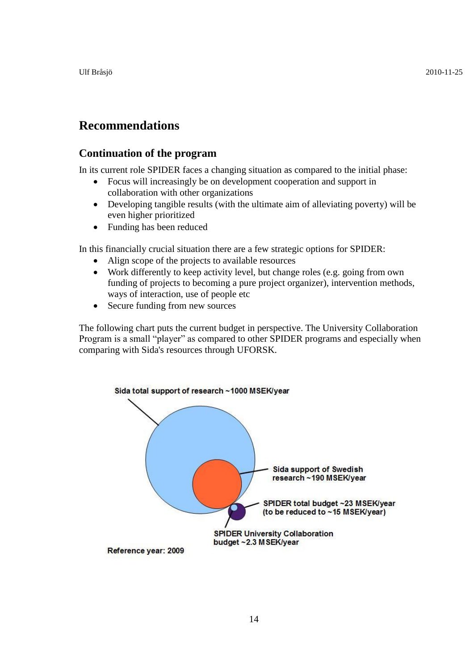# <span id="page-13-0"></span>**Recommendations**

#### <span id="page-13-1"></span>**Continuation of the program**

In its current role SPIDER faces a changing situation as compared to the initial phase:

- Focus will increasingly be on development cooperation and support in collaboration with other organizations
- Developing tangible results (with the ultimate aim of alleviating poverty) will be even higher prioritized
- Funding has been reduced

In this financially crucial situation there are a few strategic options for SPIDER:

- Align scope of the projects to available resources
- Work differently to keep activity level, but change roles (e.g. going from own funding of projects to becoming a pure project organizer), intervention methods, ways of interaction, use of people etc
- Secure funding from new sources

The following chart puts the current budget in perspective. The University Collaboration Program is a small "player" as compared to other SPIDER programs and especially when comparing with Sida's resources through UFORSK.

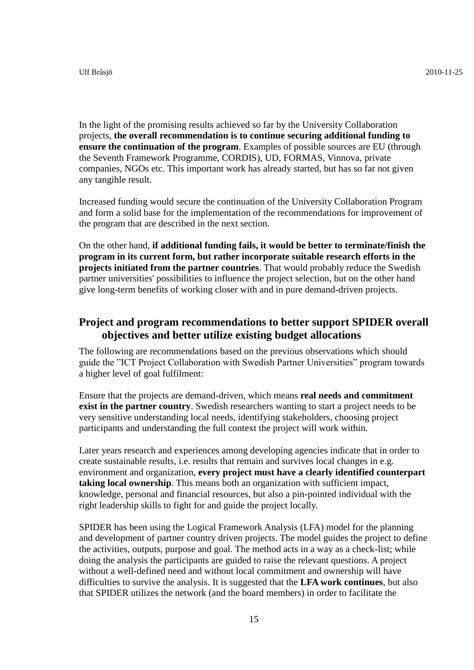In the light of the promising results achieved so far by the University Collaboration projects, **the overall recommendation is to continue securing additional funding to ensure the continuation of the program**. Examples of possible sources are EU (through the Seventh Framework Programme, CORDIS), UD, FORMAS, Vinnova, private companies, NGOs etc. This important work has already started, but has so far not given any tangible result.

Increased funding would secure the continuation of the University Collaboration Program and form a solid base for the implementation of the recommendations for improvement of the program that are described in the next section.

On the other hand, **if additional funding fails, it would be better to terminate/finish the program in its current form, but rather incorporate suitable research efforts in the projects initiated from the partner countries**. That would probably reduce the Swedish partner universities' possibilities to influence the project selection, but on the other hand give long-term benefits of working closer with and in pure demand-driven projects.

#### <span id="page-14-0"></span>**Project and program recommendations to better support SPIDER overall objectives and better utilize existing budget allocations**

The following are recommendations based on the previous observations which should guide the "ICT Project Collaboration with Swedish Partner Universities" program towards a higher level of goal fulfilment:

Ensure that the projects are demand-driven, which means **real needs and commitment exist in the partner country**. Swedish researchers wanting to start a project needs to be very sensitive understanding local needs, identifying stakeholders, choosing project participants and understanding the full context the project will work within.

Later years research and experiences among developing agencies indicate that in order to create sustainable results, i.e. results that remain and survives local changes in e.g. environment and organization, **every project must have a clearly identified counterpart taking local ownership**. This means both an organization with sufficient impact, knowledge, personal and financial resources, but also a pin-pointed individual with the right leadership skills to fight for and guide the project locally.

SPIDER has been using the Logical Framework Analysis (LFA) model for the planning and development of partner country driven projects. The model guides the project to define the activities, outputs, purpose and goal. The method acts in a way as a check-list; while doing the analysis the participants are guided to raise the relevant questions. A project without a well-defined need and without local commitment and ownership will have difficulties to survive the analysis. It is suggested that the **LFA work continues**, but also that SPIDER utilizes the network (and the board members) in order to facilitate the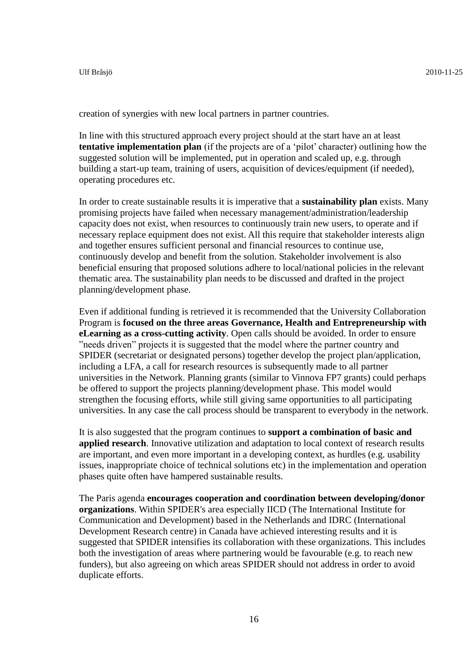creation of synergies with new local partners in partner countries.

In line with this structured approach every project should at the start have an at least **tentative implementation plan** (if the projects are of a "pilot" character) outlining how the suggested solution will be implemented, put in operation and scaled up, e.g. through building a start-up team, training of users, acquisition of devices/equipment (if needed), operating procedures etc.

In order to create sustainable results it is imperative that a **sustainability plan** exists. Many promising projects have failed when necessary management/administration/leadership capacity does not exist, when resources to continuously train new users, to operate and if necessary replace equipment does not exist. All this require that stakeholder interests align and together ensures sufficient personal and financial resources to continue use, continuously develop and benefit from the solution. Stakeholder involvement is also beneficial ensuring that proposed solutions adhere to local/national policies in the relevant thematic area. The sustainability plan needs to be discussed and drafted in the project planning/development phase.

Even if additional funding is retrieved it is recommended that the University Collaboration Program is **focused on the three areas Governance, Health and Entrepreneurship with eLearning as a cross-cutting activity**. Open calls should be avoided. In order to ensure "needs driven" projects it is suggested that the model where the partner country and SPIDER (secretariat or designated persons) together develop the project plan/application, including a LFA, a call for research resources is subsequently made to all partner universities in the Network. Planning grants (similar to Vinnova FP7 grants) could perhaps be offered to support the projects planning/development phase. This model would strengthen the focusing efforts, while still giving same opportunities to all participating universities. In any case the call process should be transparent to everybody in the network.

It is also suggested that the program continues to **support a combination of basic and applied research**. Innovative utilization and adaptation to local context of research results are important, and even more important in a developing context, as hurdles (e.g. usability issues, inappropriate choice of technical solutions etc) in the implementation and operation phases quite often have hampered sustainable results.

The Paris agenda **encourages cooperation and coordination between developing/donor organizations**. Within SPIDER's area especially IICD (The International Institute for Communication and Development) based in the Netherlands and IDRC (International Development Research centre) in Canada have achieved interesting results and it is suggested that SPIDER intensifies its collaboration with these organizations. This includes both the investigation of areas where partnering would be favourable (e.g. to reach new funders), but also agreeing on which areas SPIDER should not address in order to avoid duplicate efforts.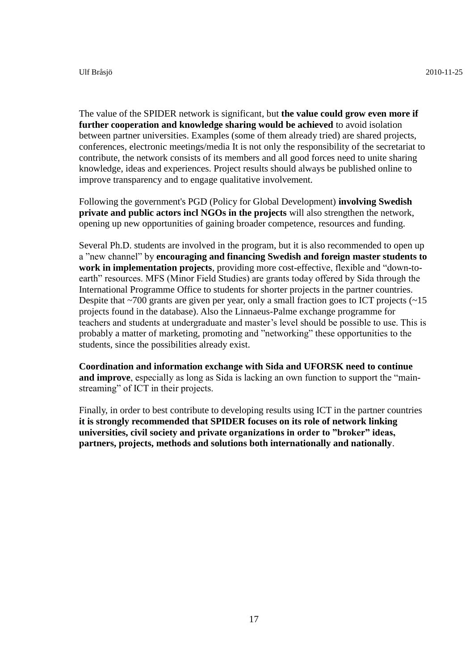The value of the SPIDER network is significant, but **the value could grow even more if further cooperation and knowledge sharing would be achieved** to avoid isolation between partner universities. Examples (some of them already tried) are shared projects, conferences, electronic meetings/media It is not only the responsibility of the secretariat to contribute, the network consists of its members and all good forces need to unite sharing knowledge, ideas and experiences. Project results should always be published online to improve transparency and to engage qualitative involvement.

Following the government's PGD (Policy for Global Development) **involving Swedish private and public actors incl NGOs in the projects** will also strengthen the network, opening up new opportunities of gaining broader competence, resources and funding.

Several Ph.D. students are involved in the program, but it is also recommended to open up a "new channel" by **encouraging and financing Swedish and foreign master students to work in implementation projects**, providing more cost-effective, flexible and "down-toearth" resources. MFS (Minor Field Studies) are grants today offered by Sida through the International Programme Office to students for shorter projects in the partner countries. Despite that  $\sim$ 700 grants are given per year, only a small fraction goes to ICT projects ( $\sim$ 15 projects found in the database). Also the Linnaeus-Palme exchange programme for teachers and students at undergraduate and master"s level should be possible to use. This is probably a matter of marketing, promoting and "networking" these opportunities to the students, since the possibilities already exist.

**Coordination and information exchange with Sida and UFORSK need to continue and improve**, especially as long as Sida is lacking an own function to support the "mainstreaming" of ICT in their projects.

Finally, in order to best contribute to developing results using ICT in the partner countries **it is strongly recommended that SPIDER focuses on its role of network linking universities, civil society and private organizations in order to "broker" ideas, partners, projects, methods and solutions both internationally and nationally**.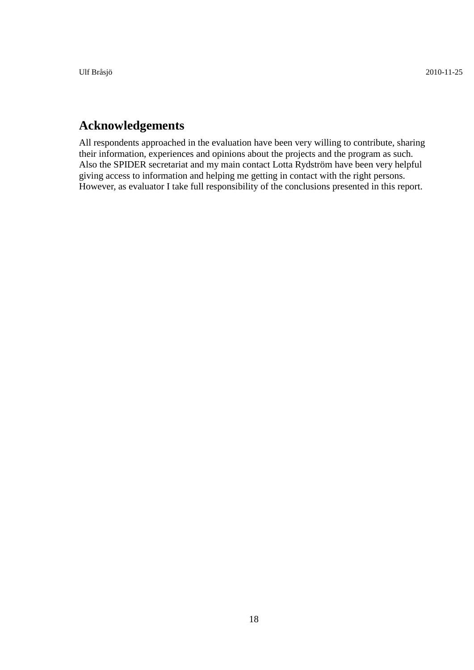# <span id="page-17-0"></span>**Acknowledgements**

All respondents approached in the evaluation have been very willing to contribute, sharing their information, experiences and opinions about the projects and the program as such. Also the SPIDER secretariat and my main contact Lotta Rydström have been very helpful giving access to information and helping me getting in contact with the right persons. However, as evaluator I take full responsibility of the conclusions presented in this report.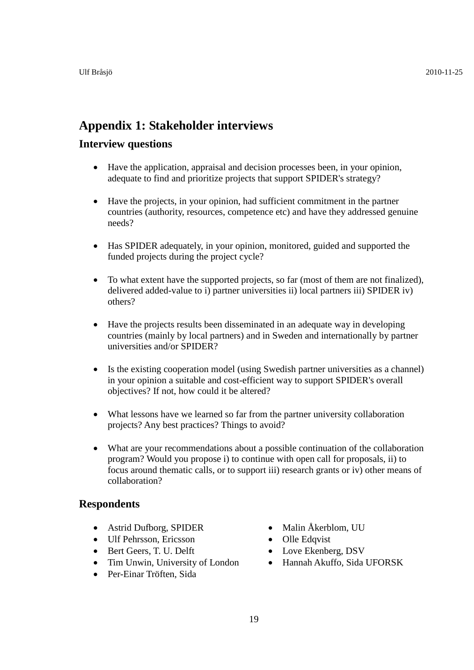### <span id="page-18-0"></span>**Appendix 1: Stakeholder interviews**

#### **Interview questions**

- Have the application, appraisal and decision processes been, in your opinion, adequate to find and prioritize projects that support SPIDER's strategy?
- Have the projects, in your opinion, had sufficient commitment in the partner countries (authority, resources, competence etc) and have they addressed genuine needs?
- Has SPIDER adequately, in your opinion, monitored, guided and supported the funded projects during the project cycle?
- To what extent have the supported projects, so far (most of them are not finalized), delivered added-value to i) partner universities ii) local partners iii) SPIDER iv) others?
- Have the projects results been disseminated in an adequate way in developing countries (mainly by local partners) and in Sweden and internationally by partner universities and/or SPIDER?
- Is the existing cooperation model (using Swedish partner universities as a channel) in your opinion a suitable and cost-efficient way to support SPIDER's overall objectives? If not, how could it be altered?
- What lessons have we learned so far from the partner university collaboration projects? Any best practices? Things to avoid?
- What are your recommendations about a possible continuation of the collaboration program? Would you propose i) to continue with open call for proposals, ii) to focus around thematic calls, or to support iii) research grants or iv) other means of collaboration?

#### **Respondents**

- Astrid Dufborg, SPIDER
- Ulf Pehrsson, Ericsson
- Bert Geers, T. U. Delft
- Tim Unwin, University of London
- Per-Einar Tröften, Sida
- Malin Åkerblom, UU
- Olle Edqvist
- Love Ekenberg, DSV
- Hannah Akuffo, Sida UFORSK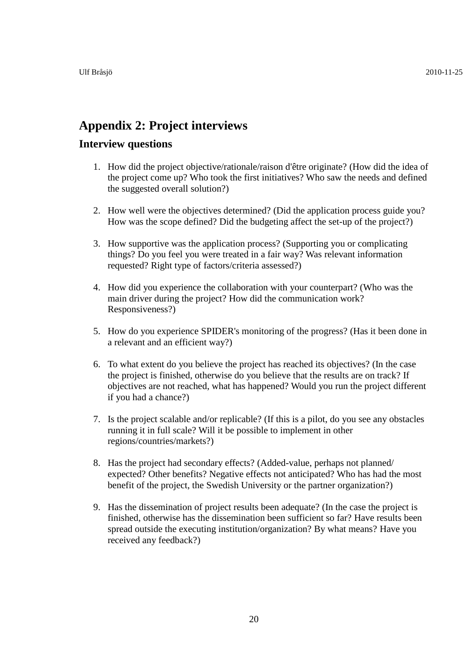# <span id="page-19-0"></span>**Appendix 2: Project interviews**

#### **Interview questions**

- 1. How did the project objective/rationale/raison d'être originate? (How did the idea of the project come up? Who took the first initiatives? Who saw the needs and defined the suggested overall solution?)
- 2. How well were the objectives determined? (Did the application process guide you? How was the scope defined? Did the budgeting affect the set-up of the project?)
- 3. How supportive was the application process? (Supporting you or complicating things? Do you feel you were treated in a fair way? Was relevant information requested? Right type of factors/criteria assessed?)
- 4. How did you experience the collaboration with your counterpart? (Who was the main driver during the project? How did the communication work? Responsiveness?)
- 5. How do you experience SPIDER's monitoring of the progress? (Has it been done in a relevant and an efficient way?)
- 6. To what extent do you believe the project has reached its objectives? (In the case the project is finished, otherwise do you believe that the results are on track? If objectives are not reached, what has happened? Would you run the project different if you had a chance?)
- 7. Is the project scalable and/or replicable? (If this is a pilot, do you see any obstacles running it in full scale? Will it be possible to implement in other regions/countries/markets?)
- 8. Has the project had secondary effects? (Added-value, perhaps not planned/ expected? Other benefits? Negative effects not anticipated? Who has had the most benefit of the project, the Swedish University or the partner organization?)
- 9. Has the dissemination of project results been adequate? (In the case the project is finished, otherwise has the dissemination been sufficient so far? Have results been spread outside the executing institution/organization? By what means? Have you received any feedback?)